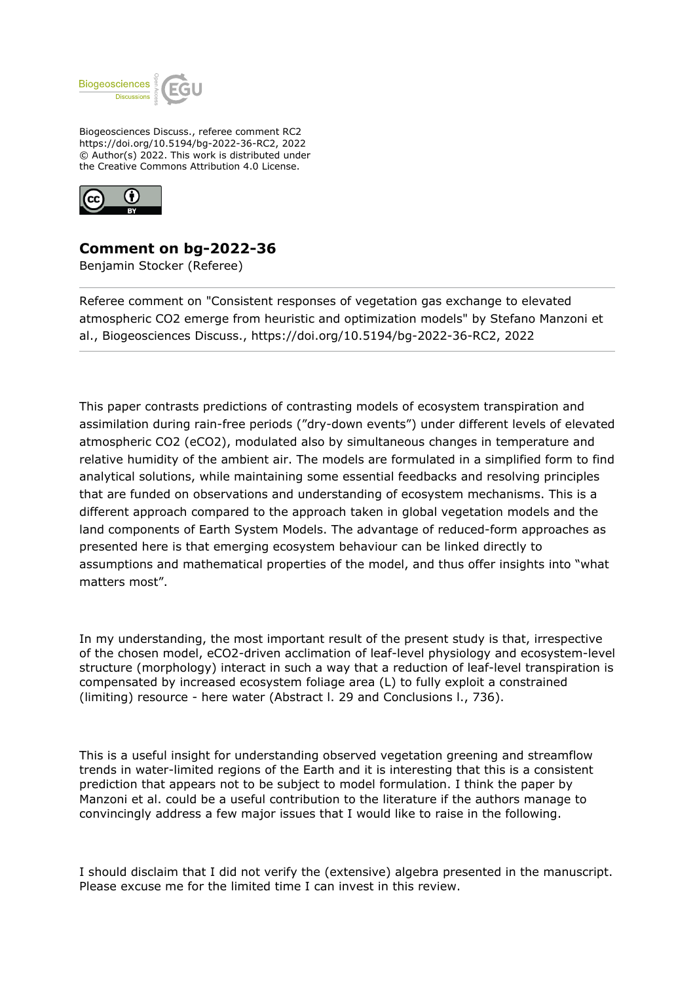

Biogeosciences Discuss., referee comment RC2 https://doi.org/10.5194/bg-2022-36-RC2, 2022 © Author(s) 2022. This work is distributed under the Creative Commons Attribution 4.0 License.



## **Comment on bg-2022-36**

Benjamin Stocker (Referee)

Referee comment on "Consistent responses of vegetation gas exchange to elevated atmospheric CO2 emerge from heuristic and optimization models" by Stefano Manzoni et al., Biogeosciences Discuss., https://doi.org/10.5194/bg-2022-36-RC2, 2022

This paper contrasts predictions of contrasting models of ecosystem transpiration and assimilation during rain-free periods ("dry-down events") under different levels of elevated atmospheric CO2 (eCO2), modulated also by simultaneous changes in temperature and relative humidity of the ambient air. The models are formulated in a simplified form to find analytical solutions, while maintaining some essential feedbacks and resolving principles that are funded on observations and understanding of ecosystem mechanisms. This is a different approach compared to the approach taken in global vegetation models and the land components of Earth System Models. The advantage of reduced-form approaches as presented here is that emerging ecosystem behaviour can be linked directly to assumptions and mathematical properties of the model, and thus offer insights into "what matters most".

In my understanding, the most important result of the present study is that, irrespective of the chosen model, eCO2-driven acclimation of leaf-level physiology and ecosystem-level structure (morphology) interact in such a way that a reduction of leaf-level transpiration is compensated by increased ecosystem foliage area (L) to fully exploit a constrained (limiting) resource - here water (Abstract l. 29 and Conclusions l., 736).

This is a useful insight for understanding observed vegetation greening and streamflow trends in water-limited regions of the Earth and it is interesting that this is a consistent prediction that appears not to be subject to model formulation. I think the paper by Manzoni et al. could be a useful contribution to the literature if the authors manage to convincingly address a few major issues that I would like to raise in the following.

I should disclaim that I did not verify the (extensive) algebra presented in the manuscript. Please excuse me for the limited time I can invest in this review.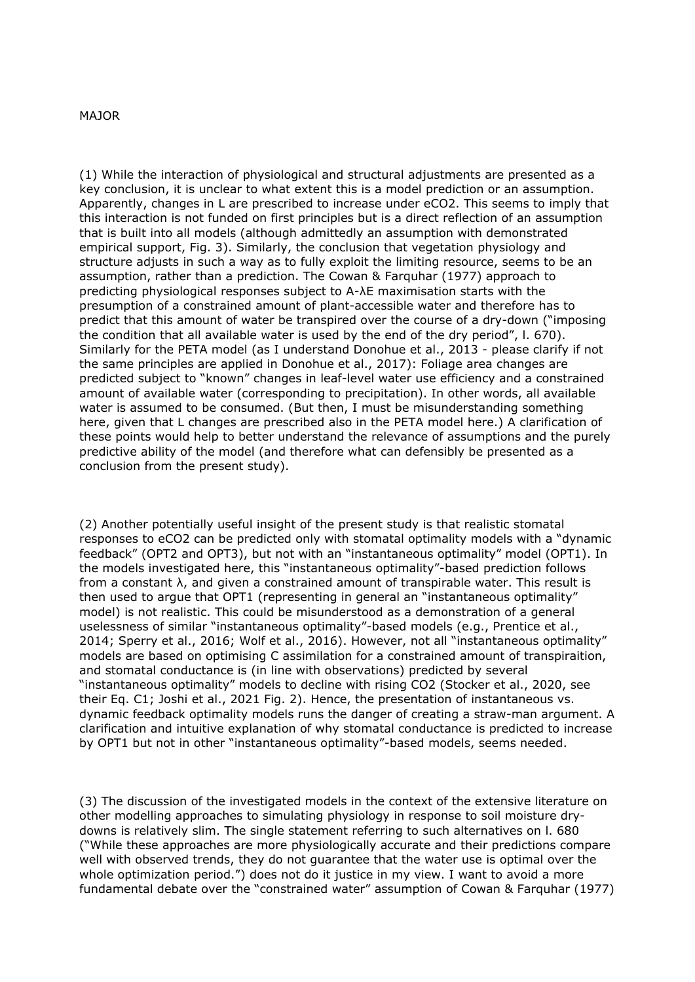## MAJOR

(1) While the interaction of physiological and structural adjustments are presented as a key conclusion, it is unclear to what extent this is a model prediction or an assumption. Apparently, changes in L are prescribed to increase under eCO2. This seems to imply that this interaction is not funded on first principles but is a direct reflection of an assumption that is built into all models (although admittedly an assumption with demonstrated empirical support, Fig. 3). Similarly, the conclusion that vegetation physiology and structure adjusts in such a way as to fully exploit the limiting resource, seems to be an assumption, rather than a prediction. The Cowan & Farquhar (1977) approach to predicting physiological responses subject to A-λE maximisation starts with the presumption of a constrained amount of plant-accessible water and therefore has to predict that this amount of water be transpired over the course of a dry-down ("imposing the condition that all available water is used by the end of the dry period", l. 670). Similarly for the PETA model (as I understand Donohue et al., 2013 - please clarify if not the same principles are applied in Donohue et al., 2017): Foliage area changes are predicted subject to "known" changes in leaf-level water use efficiency and a constrained amount of available water (corresponding to precipitation). In other words, all available water is assumed to be consumed. (But then, I must be misunderstanding something here, given that L changes are prescribed also in the PETA model here.) A clarification of these points would help to better understand the relevance of assumptions and the purely predictive ability of the model (and therefore what can defensibly be presented as a conclusion from the present study).

(2) Another potentially useful insight of the present study is that realistic stomatal responses to eCO2 can be predicted only with stomatal optimality models with a "dynamic feedback" (OPT2 and OPT3), but not with an "instantaneous optimality" model (OPT1). In the models investigated here, this "instantaneous optimality"-based prediction follows from a constant λ, and given a constrained amount of transpirable water. This result is then used to argue that OPT1 (representing in general an "instantaneous optimality" model) is not realistic. This could be misunderstood as a demonstration of a general uselessness of similar "instantaneous optimality"-based models (e.g., Prentice et al., 2014; Sperry et al., 2016; Wolf et al., 2016). However, not all "instantaneous optimality" models are based on optimising C assimilation for a constrained amount of transpiraition, and stomatal conductance is (in line with observations) predicted by several "instantaneous optimality" models to decline with rising CO2 (Stocker et al., 2020, see their Eq. C1; Joshi et al., 2021 Fig. 2). Hence, the presentation of instantaneous vs. dynamic feedback optimality models runs the danger of creating a straw-man argument. A clarification and intuitive explanation of why stomatal conductance is predicted to increase by OPT1 but not in other "instantaneous optimality"-based models, seems needed.

(3) The discussion of the investigated models in the context of the extensive literature on other modelling approaches to simulating physiology in response to soil moisture drydowns is relatively slim. The single statement referring to such alternatives on l. 680 ("While these approaches are more physiologically accurate and their predictions compare well with observed trends, they do not guarantee that the water use is optimal over the whole optimization period.") does not do it justice in my view. I want to avoid a more fundamental debate over the "constrained water" assumption of Cowan & Farquhar (1977)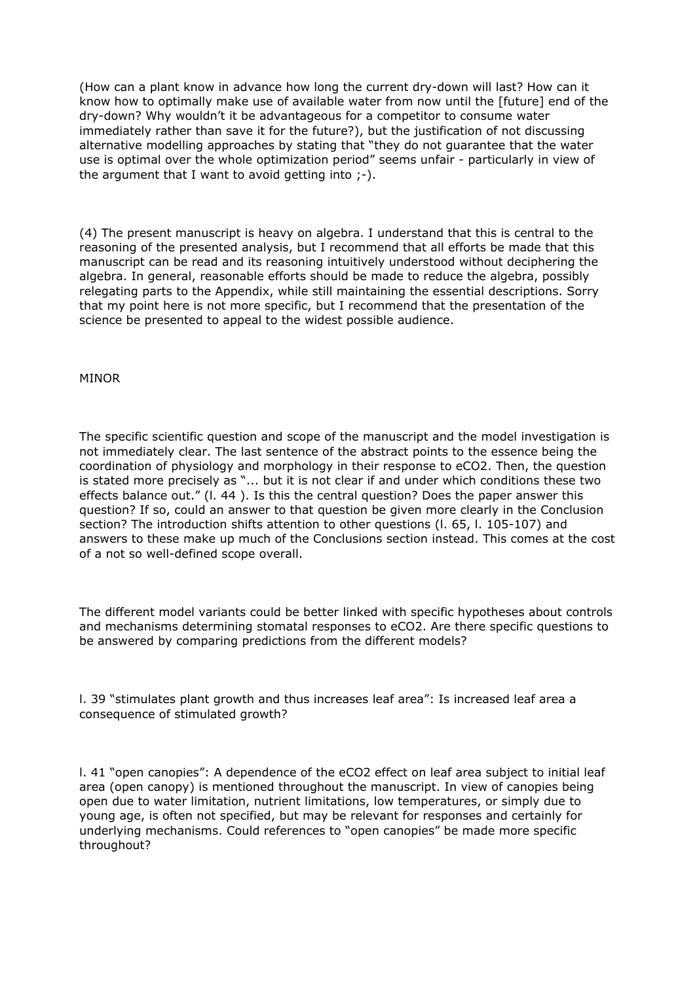(How can a plant know in advance how long the current dry-down will last? How can it know how to optimally make use of available water from now until the [future] end of the dry-down? Why wouldn't it be advantageous for a competitor to consume water immediately rather than save it for the future?), but the justification of not discussing alternative modelling approaches by stating that "they do not guarantee that the water use is optimal over the whole optimization period" seems unfair - particularly in view of the argument that I want to avoid getting into  $:-$ ).

(4) The present manuscript is heavy on algebra. I understand that this is central to the reasoning of the presented analysis, but I recommend that all efforts be made that this manuscript can be read and its reasoning intuitively understood without deciphering the algebra. In general, reasonable efforts should be made to reduce the algebra, possibly relegating parts to the Appendix, while still maintaining the essential descriptions. Sorry that my point here is not more specific, but I recommend that the presentation of the science be presented to appeal to the widest possible audience.

## MINOR

The specific scientific question and scope of the manuscript and the model investigation is not immediately clear. The last sentence of the abstract points to the essence being the coordination of physiology and morphology in their response to eCO2. Then, the question is stated more precisely as "... but it is not clear if and under which conditions these two effects balance out." (l. 44 ). Is this the central question? Does the paper answer this question? If so, could an answer to that question be given more clearly in the Conclusion section? The introduction shifts attention to other questions (l. 65, l. 105-107) and answers to these make up much of the Conclusions section instead. This comes at the cost of a not so well-defined scope overall.

The different model variants could be better linked with specific hypotheses about controls and mechanisms determining stomatal responses to eCO2. Are there specific questions to be answered by comparing predictions from the different models?

l. 39 "stimulates plant growth and thus increases leaf area": Is increased leaf area a consequence of stimulated growth?

l. 41 "open canopies": A dependence of the eCO2 effect on leaf area subject to initial leaf area (open canopy) is mentioned throughout the manuscript. In view of canopies being open due to water limitation, nutrient limitations, low temperatures, or simply due to young age, is often not specified, but may be relevant for responses and certainly for underlying mechanisms. Could references to "open canopies" be made more specific throughout?